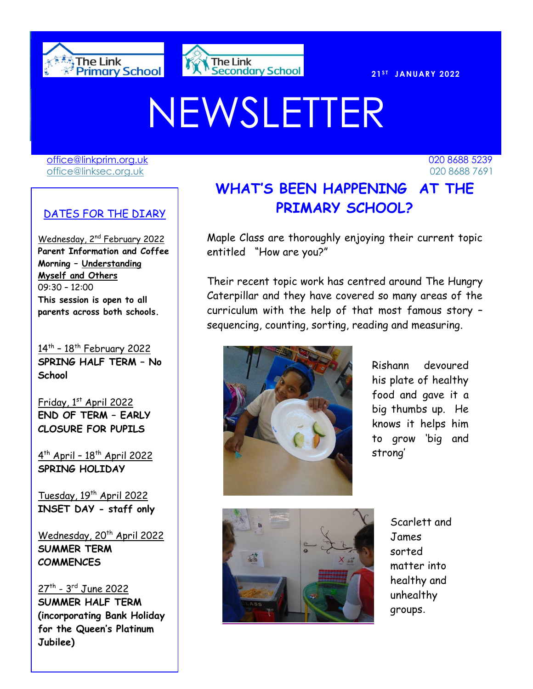



# NEWSLETTER

[office@linkprim.org.uk](mailto:office@linkprim.org.uk) 020 8688 5239 office@linksec.org.uk 020 8688 7691

### DATES FOR THE DIARY

Wednesday, 2<sup>nd</sup> February 2022 **Parent Information and Coffee Morning – Understanding Myself and Others**  09:30 – 12:00 **This session is open to all parents across both schools.**

14<sup>th</sup> - 18<sup>th</sup> February 2022 **SPRING HALF TERM – No School**

Friday, 1st April 2022 **END OF TERM – EARLY CLOSURE FOR PUPILS**

4<sup>th</sup> April - 18<sup>th</sup> April 2022 **SPRING HOLIDAY**

Tuesday, 19<sup>th</sup> April 2022 **INSET DAY - staff only**

Wednesday, 20<sup>th</sup> April 2022 **SUMMER TERM COMMENCES**

<u>27th - 3rd June 2022</u> **SUMMER HALF TERM (incorporating Bank Holiday for the Queen's Platinum Jubilee)**

 **PRIMARY SCHOOL? WHAT'S BEEN HAPPENING AT THE** 

> Maple Class are thoroughly enjoying their current topic entitled "How are you?"

> Their recent topic work has centred around The Hungry Caterpillar and they have covered so many areas of the curriculum with the help of that most famous story – sequencing, counting, sorting, reading and measuring.



Rishann devoured his plate of healthy food and gave it a big thumbs up. He knows it helps him to grow 'big and strong'



Scarlett and James sorted matter into healthy and unhealthy groups.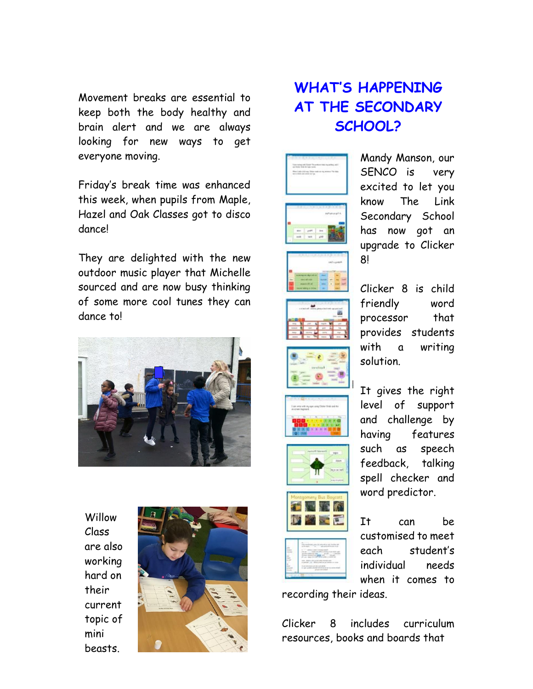Movement breaks are essential to keep both the body healthy and brain alert and we are always looking for new ways to get everyone moving.

Friday's break time was enhanced this week, when pupils from Maple, Hazel and Oak Classes got to disco dance!

They are delighted with the new outdoor music player that Michelle sourced and are now busy thinking of some more cool tunes they can dance to!



**Willow** Class are also working hard on their current topic of mini beasts.



## **WHAT'S HAPPENING AT THE SECONDARY SCHOOL?**



















Mandy Manson, our SENCO is very excited to let you know The Link Secondary School has now got an upgrade to Clicker 8!

Clicker 8 is child friendly word processor that provides students with a writing solution.

It gives the right level of support and challenge by having features such as speech feedback, talking spell checker and word predictor.

It can be customised to meet each student's individual needs when it comes to

recording their ideas.

Clicker 8 includes curriculum resources, books and boards that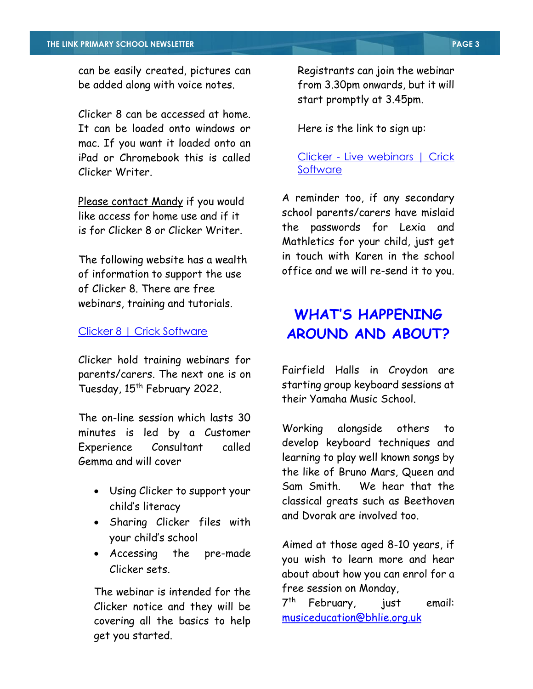can be easily created, pictures can be added along with voice notes.

Clicker 8 can be accessed at home. It can be loaded onto windows or mac. If you want it loaded onto an iPad or Chromebook this is called Clicker Writer.

Please contact Mandy if you would like access for home use and if it is for Clicker 8 or Clicker Writer.

The following website has a wealth of information to support the use of Clicker 8. There are free webinars, training and tutorials.

#### [Clicker 8 | Crick Software](https://www.cricksoft.com/uk/clicker/8)

Clicker hold training webinars for parents/carers. The next one is on Tuesday, 15<sup>th</sup> February 2022.

The on-line session which lasts 30 minutes is led by a Customer Experience Consultant called Gemma and will cover

- Using Clicker to support your child's literacy
- Sharing Clicker files with your child's school
- Accessing the pre-made Clicker sets.

The webinar is intended for the Clicker notice and they will be covering all the basics to help get you started.

Registrants can join the webinar from 3.30pm onwards, but it will start promptly at 3.45pm.

Here is the link to sign up:

Clicker - [Live webinars | Crick](https://www.cricksoft.com/uk/training/clicker-training/live-webinars)  **[Software](https://www.cricksoft.com/uk/training/clicker-training/live-webinars)** 

A reminder too, if any secondary school parents/carers have mislaid the passwords for Lexia and Mathletics for your child, just get in touch with Karen in the school office and we will re-send it to you.

## **WHAT'S HAPPENING AROUND AND ABOUT?**

Fairfield Halls in Croydon are starting group keyboard sessions at their Yamaha Music School.

Working alongside others to develop keyboard techniques and learning to play well known songs by the like of Bruno Mars, Queen and Sam Smith. We hear that the classical greats such as Beethoven and Dvorak are involved too.

Aimed at those aged 8-10 years, if you wish to learn more and hear about about how you can enrol for a free session on Monday,

 $7<sup>th</sup>$ February, just email: [musiceducation@bhlie.org.uk](mailto:musiceducation@bhlie.org.uk)